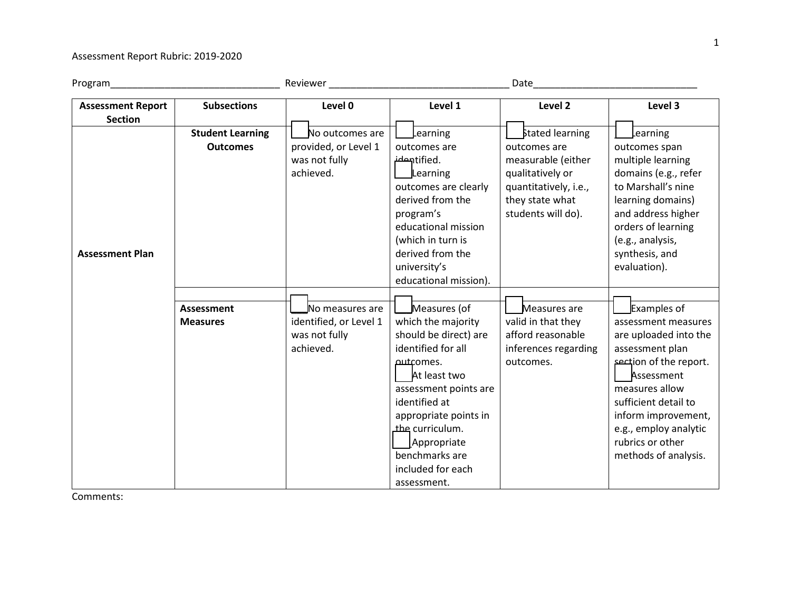## Assessment Report Rubric: 2019-2020

| Program                                    |                                            | Reviewer                                                                | Date                                                                                                                                                                                                                                                                             |                                                                                                                                                    |                                                                                                                                                                                                                                                              |
|--------------------------------------------|--------------------------------------------|-------------------------------------------------------------------------|----------------------------------------------------------------------------------------------------------------------------------------------------------------------------------------------------------------------------------------------------------------------------------|----------------------------------------------------------------------------------------------------------------------------------------------------|--------------------------------------------------------------------------------------------------------------------------------------------------------------------------------------------------------------------------------------------------------------|
| <b>Assessment Report</b><br><b>Section</b> | <b>Subsections</b>                         | Level 0                                                                 | Level 1                                                                                                                                                                                                                                                                          | Level 2                                                                                                                                            | Level 3                                                                                                                                                                                                                                                      |
| <b>Assessment Plan</b>                     | <b>Student Learning</b><br><b>Outcomes</b> | No outcomes are<br>provided, or Level 1<br>was not fully<br>achieved.   | Learning<br>outcomes are<br>.hentifiedشه<br>Learning<br>outcomes are clearly<br>derived from the<br>program's<br>educational mission<br>(which in turn is<br>derived from the<br>university's<br>educational mission).                                                           | <b>Stated learning</b><br>outcomes are<br>measurable (either<br>qualitatively or<br>quantitatively, i.e.,<br>they state what<br>students will do). | Learning<br>outcomes span<br>multiple learning<br>domains (e.g., refer<br>to Marshall's nine<br>learning domains)<br>and address higher<br>orders of learning<br>(e.g., analysis,<br>synthesis, and<br>evaluation).                                          |
|                                            | <b>Assessment</b><br><b>Measures</b>       | No measures are<br>identified, or Level 1<br>was not fully<br>achieved. | Measures (of<br>which the majority<br>should be direct) are<br>identified for all<br><b>putcomes.</b><br>At least two<br>assessment points are<br>identified at<br>appropriate points in<br>the curriculum.<br>Appropriate<br>benchmarks are<br>included for each<br>assessment. | Measures are<br>valid in that they<br>afford reasonable<br>inferences regarding<br>outcomes.                                                       | Examples of<br>assessment measures<br>are uploaded into the<br>assessment plan<br>section of the report.<br>Assessment<br>measures allow<br>sufficient detail to<br>inform improvement,<br>e.g., employ analytic<br>rubrics or other<br>methods of analysis. |

Comments: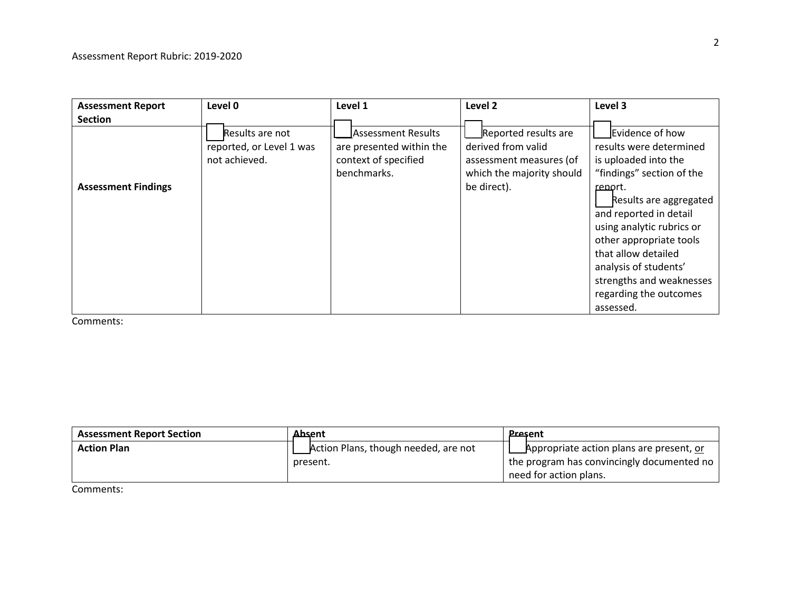| <b>Assessment Report</b>   | Level 0                                                      | Level 1                                                                               | Level <sub>2</sub>                                                                                                | Level 3                                                                                                                                                                                                                                                                                                                                   |
|----------------------------|--------------------------------------------------------------|---------------------------------------------------------------------------------------|-------------------------------------------------------------------------------------------------------------------|-------------------------------------------------------------------------------------------------------------------------------------------------------------------------------------------------------------------------------------------------------------------------------------------------------------------------------------------|
| <b>Section</b>             |                                                              |                                                                                       |                                                                                                                   |                                                                                                                                                                                                                                                                                                                                           |
| <b>Assessment Findings</b> | Results are not<br>reported, or Level 1 was<br>not achieved. | Assessment Results<br>are presented within the<br>context of specified<br>benchmarks. | Reported results are<br>derived from valid<br>assessment measures (of<br>which the majority should<br>be direct). | Evidence of how<br>results were determined<br>is uploaded into the<br>"findings" section of the<br>report.<br>Results are aggregated<br>and reported in detail<br>using analytic rubrics or<br>other appropriate tools<br>that allow detailed<br>analysis of students'<br>strengths and weaknesses<br>regarding the outcomes<br>assessed. |

Comments:

| <b>Assessment Report Section</b> | Absent                               | <b>Present</b>                               |
|----------------------------------|--------------------------------------|----------------------------------------------|
| <b>Action Plan</b>               | Action Plans, though needed, are not | Appropriate action plans are present, or     |
|                                  | present.                             | I the program has convincingly documented no |
|                                  |                                      | need for action plans.                       |

Comments: